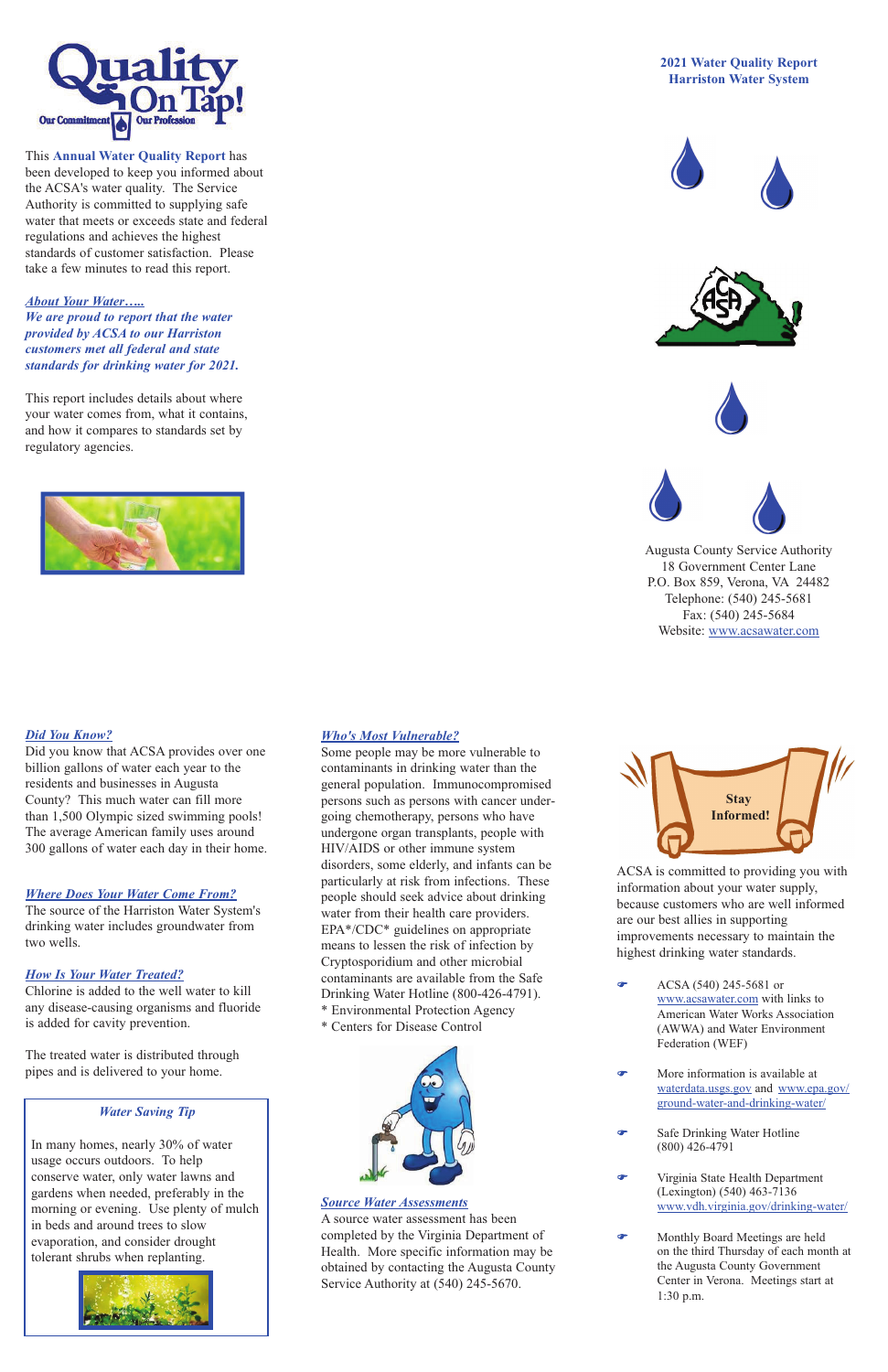## *Where Does Your Water Come From?*

The source of the Harriston Water System's drinking water includes groundwater from two wells.

### *How Is Your Water Treated?*

Chlorine is added to the well water to kill any disease-causing organisms and fluoride is added for cavity prevention.

The treated water is distributed through pipes and is delivered to your home.

## *Who's Most Vulnerable?*

 $\bullet$  ACSA (540) 245-5681 or www.acsawater.com with links to

Some people may be more vulnerable to contaminants in drinking water than the general population. Immunocompromised persons such as persons with cancer undergoing chemotherapy, persons who have undergone organ transplants, people with HIV/AIDS or other immune system disorders, some elderly, and infants can be particularly at risk from infections. These people should seek advice about drinking water from their health care providers. EPA\*/CDC\* guidelines on appropriate means to lessen the risk of infection by Cryptosporidium and other microbial contaminants are available from the Safe Drinking Water Hotline (800-426-4791). **Environmental Protection Agency** \* Centers for Disease Control

ACSA is committed to providing you with information about your water supply, because customers who are well informed are our best allies in supporting improvements necessary to maintain the highest drinking water standards.

> American Water Works Association (AWWA) and Water Environment Federation (WEF)

- F More information is available at waterdata.usgs.gov and www.epa.gov/ ground-water-and-drinking-water/
- **Safe Drinking Water Hotline** (800) 426-4791
- F Virginia State Health Department (Lexington) (540) 463-7136 www.vdh.virginia.gov/drinking-water/
- F Monthly Board Meetings are held on the third Thursday of each month at the Augusta County Government Center in Verona. Meetings start at 1:30 p.m.



This **Annual Water Quality Report** has been developed to keep you informed about the ACSA's water quality. The Service Authority is committed to supplying safe water that meets or exceeds state and federal regulations and achieves the highest standards of customer satisfaction. Please take a few minutes to read this report.

## *About Your Water…..*

*We are proud to report that the water provided by ACSA to our Harriston customers met all federal and state standards for drinking water for 2021.* 

This report includes details about where your water comes from, what it contains, and how it compares to standards set by regulatory agencies.



# **2021 Water Quality Report Harriston Water System**









Augusta County Service Authority 18 Government Center Lane P.O. Box 859, Verona, VA 24482 Telephone: (540) 245-5681 Fax: (540) 245-5684 Website: www.acsawater.com



### *Source Water Assessments*

A source water assessment has been completed by the Virginia Department of Health. More specific information may be obtained by contacting the Augusta County Service Authority at (540) 245-5670.

### *Water Saving Tip*

In many homes, nearly 30% of water usage occurs outdoors. To help conserve water, only water lawns and gardens when needed, preferably in the morning or evening. Use plenty of mulch in beds and around trees to slow evaporation, and consider drought tolerant shrubs when replanting.





## *Did You Know?*

Did you know that ACSA provides over one billion gallons of water each year to the residents and businesses in Augusta County? This much water can fill more than 1,500 Olympic sized swimming pools! The average American family uses around 300 gallons of water each day in their home.